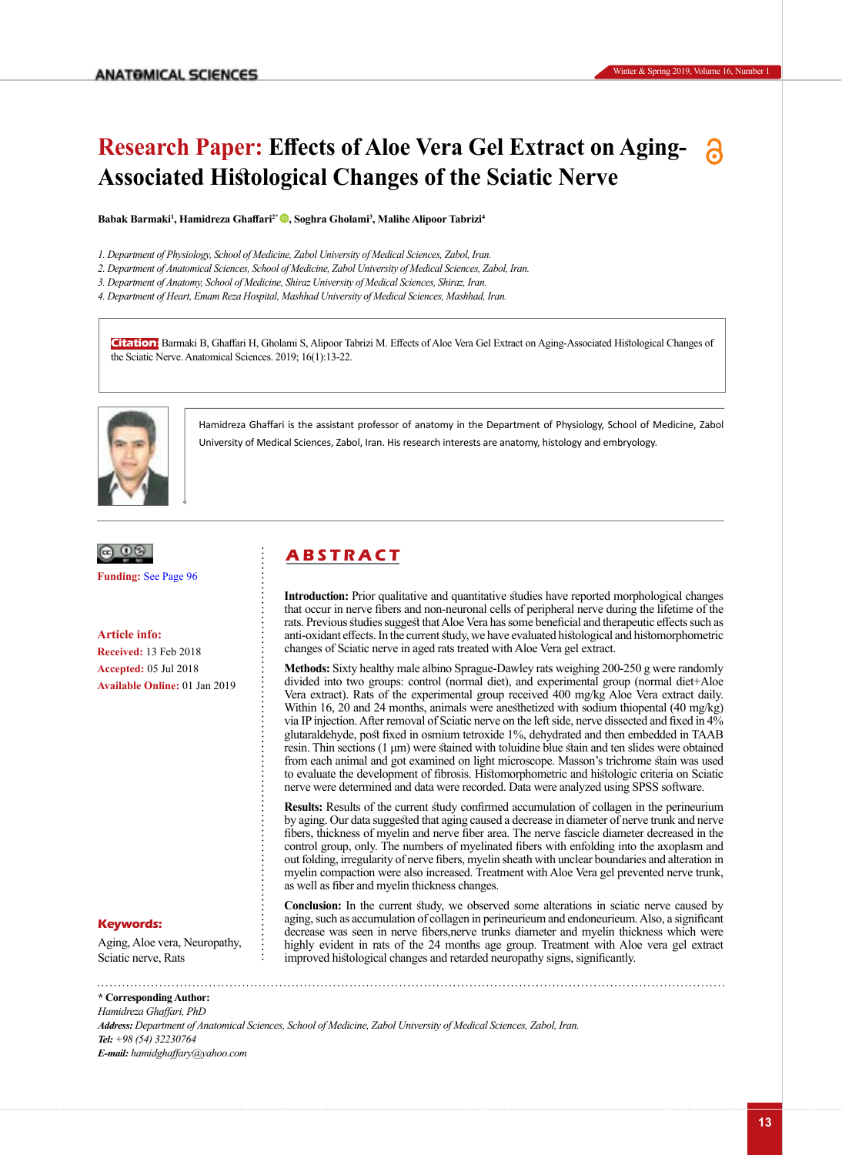# **Research Paper: Effects of Aloe Vera Gel Extract on Aging-Associated Histological Changes of the Sciatic Nerve**

**Babak Barmaki<sup>1</sup> , Hamidreza Ghaffari2\* [,](https://orcid.org/0000-0003-4590-7338) Soghra Gholami<sup>3</sup> , Malihe Alipoor Tabrizi<sup>4</sup>**

- *1. Department of Physiology, School of Medicine, Zabol University of Medical Sciences, Zabol, Iran.*
- *2. Department of Anatomical Sciences, School of Medicine, Zabol University of Medical Sciences, Zabol, Iran.*
- *3. Department of Anatomy, School of Medicine, Shiraz University of Medical Sciences, Shiraz, Iran.*
- *4. Department of Heart, Emam Reza Hospital, Mashhad University of Medical Sciences, Mashhad, Iran.*

**Citation:** Barmaki B, Ghaffari H, Gholami S, Alipoor Tabrizi M. Effects of Aloe Vera Gel Extract on Aging-Associated Histological Changes of the Sciatic Nerve. Anatomical Sciences. 2019; 16(1):13-22.



Hamidreza Ghaffari is the assistant professor of anatomy in the Department of Physiology, School of Medicine, Zabol University of Medical Sciences, Zabol, Iran. His research interests are anatomy, histology and embryology.



**Funding:** [See Page 96](#page-7-0)

**Article info: Received:** 13 Feb 2018 **Accepted:** 05 Jul 2018 **Available Online:** 01 Jan 2019

#### **Keywords:**

Aging, Aloe vera, Neuropathy, Sciatic nerve, Rats

## **A B S T R A C T**

**Introduction:** Prior qualitative and quantitative studies have reported morphological changes that occur in nerve fibers and non-neuronal cells of peripheral nerve during the lifetime of the rats. Previous studies suggest that Aloe Vera has some beneficial and therapeutic effects such as anti-oxidant effects. In the current study, we have evaluated histological and histomorphometric changes of Sciatic nerve in aged rats treated with Aloe Vera gel extract.

**Methods:** Sixty healthy male albino Sprague-Dawley rats weighing 200-250 g were randomly divided into two groups: control (normal diet), and experimental group (normal diet+Aloe Vera extract). Rats of the experimental group received 400 mg/kg Aloe Vera extract daily. Within 16, 20 and 24 months, animals were anesthetized with sodium thiopental (40 mg/kg) via IP injection. After removal of Sciatic nerve on the left side, nerve dissected and fixed in 4% glutaraldehyde, post fixed in osmium tetroxide 1%, dehydrated and then embedded in TAAB resin. Thin sections (1 μm) were stained with toluidine blue stain and ten slides were obtained from each animal and got examined on light microscope. Masson's trichrome stain was used to evaluate the development of fibrosis. Histomorphometric and histologic criteria on Sciatic nerve were determined and data were recorded. Data were analyzed using SPSS software.

**Results:** Results of the current study confirmed accumulation of collagen in the perineurium by aging. Our data suggested that aging caused a decrease in diameter of nerve trunk and nerve fibers, thickness of myelin and nerve fiber area. The nerve fascicle diameter decreased in the control group, only. The numbers of myelinated fibers with enfolding into the axoplasm and out folding, irregularity of nerve fibers, myelin sheath with unclear boundaries and alteration in myelin compaction were also increased. Treatment with Aloe Vera gel prevented nerve trunk, as well as fiber and myelin thickness changes.

Conclusion: In the current study, we observed some alterations in sciatic nerve caused by aging, such as accumulation of collagen in perineurieum and endoneurieum. Also, a significant decrease was seen in nerve fibers,nerve trunks diameter and myelin thickness which were highly evident in rats of the 24 months age group. Treatment with Aloe vera gel extract improved histological changes and retarded neuropathy signs, significantly.

**\* Corresponding Author:** *Hamidreza Ghaffari, PhD Address: Department of Anatomical Sciences, School of Medicine, Zabol University of Medical Sciences, Zabol, Iran. Tel: +98 (54) 32230764 E-mail: hamidghaffary@yahoo.com*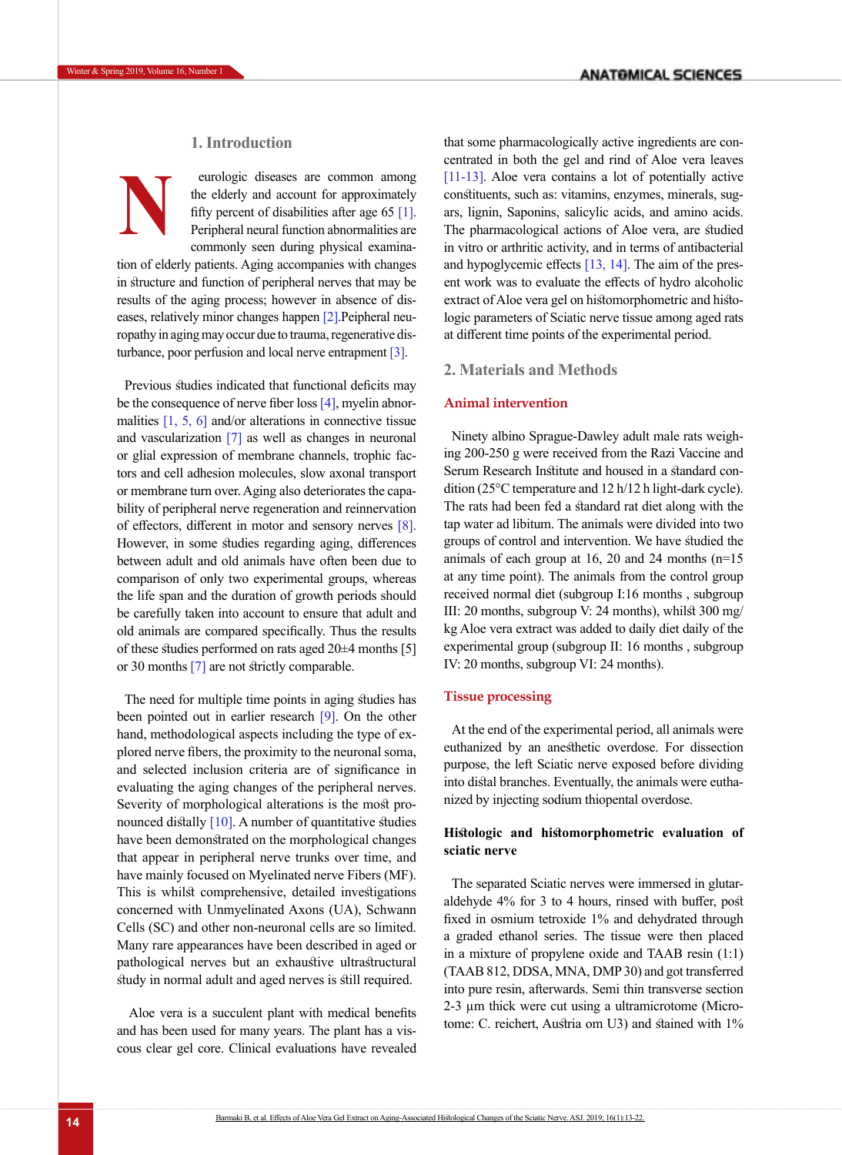## **1. Introduction**

eurologic diseases are common among the elderly and account for approximately fifty percent of disabilities after age 65  $[1]$ . Peripheral neural function abnormalities are commonly seen during physical examina-**N**

tion of elderly patients. Aging accompanies with changes in structure and function of peripheral nerves that may be results of the aging process; however in absence of diseases, relatively minor changes happen [\[2\].](#page-7-1)Peipheral neuropathy in aging may occur due to trauma, regenerative disturbance, poor perfusion and local nerve entrapment [\[3\]](#page-7-2).

Previous studies indicated that functional deficits may be the consequence of nerve fiber loss [\[4\]](#page-7-3), myelin abnormalities  $[1, 5, 6]$  $[1, 5, 6]$  $[1, 5, 6]$  $[1, 5, 6]$  and/or alterations in connective tissue and vascularization [\[7\]](#page-7-6) as well as changes in neuronal or glial expression of membrane channels, trophic factors and cell adhesion molecules, slow axonal transport or membrane turn over. Aging also deteriorates the capability of peripheral nerve regeneration and reinnervation of effectors, different in motor and sensory nerves [8]. However, in some studies regarding aging, differences between adult and old animals have often been due to comparison of only two experimental groups, whereas the life span and the duration of growth periods should be carefully taken into account to ensure that adult and old animals are compared specifically. Thus the results of these studies performed on rats aged 20±4 months [5] or 30 months [\[7\]](#page-7-6) are not strictly comparable.

The need for multiple time points in aging studies has been pointed out in earlier research [\[9\].](#page-7-7) On the other hand, methodological aspects including the type of explored nerve fibers, the proximity to the neuronal soma, and selected inclusion criteria are of significance in evaluating the aging changes of the peripheral nerves. Severity of morphological alterations is the most pronounced distally  $[10]$ . A number of quantitative studies have been demonstrated on the morphological changes that appear in peripheral nerve trunks over time, and have mainly focused on Myelinated nerve Fibers (MF). This is whilst comprehensive, detailed investigations concerned with Unmyelinated Axons (UA), Schwann Cells (SC) and other non-neuronal cells are so limited. Many rare appearances have been described in aged or pathological nerves but an exhaustive ultrastructural study in normal adult and aged nerves is still required.

 Aloe vera is a succulent plant with medical benefits and has been used for many years. The plant has a viscous clear gel core. Clinical evaluations have revealed that some pharmacologically active ingredients are concentrated in both the gel and rind of Aloe vera leaves [\[11-13\]](#page-7-9). Aloe vera contains a lot of potentially active constituents, such as: vitamins, enzymes, minerals, sugars, lignin, Saponins, salicylic acids, and amino acids. The pharmacological actions of Aloe vera, are studied in vitro or arthritic activity, and in terms of antibacterial and hypoglycemic effects [\[13,](#page-7-10) [14\]](#page-7-11). The aim of the present work was to evaluate the effects of hydro alcoholic extract of Aloe vera gel on histomorphometric and histologic parameters of Sciatic nerve tissue among aged rats at different time points of the experimental period.

## **2. Materials and Methods**

## **Animal intervention**

Ninety albino Sprague-Dawley adult male rats weighing 200-250 g were received from the Razi Vaccine and Serum Research Institute and housed in a standard condition (25°C temperature and 12 h/12 h light-dark cycle). The rats had been fed a standard rat diet along with the tap water ad libitum. The animals were divided into two groups of control and intervention. We have studied the animals of each group at 16, 20 and 24 months (n=15 at any time point). The animals from the control group received normal diet (subgroup I:16 months , subgroup III: 20 months, subgroup V: 24 months), whilst 300 mg/ kg Aloe vera extract was added to daily diet daily of the experimental group (subgroup II: 16 months , subgroup IV: 20 months, subgroup VI: 24 months).

#### **Tissue processing**

At the end of the experimental period, all animals were euthanized by an anesthetic overdose. For dissection purpose, the left Sciatic nerve exposed before dividing into distal branches. Eventually, the animals were euthanized by injecting sodium thiopental overdose.

## **Histologic and histomorphometric evaluation of sciatic nerve**

The separated Sciatic nerves were immersed in glutaraldehyde 4% for 3 to 4 hours, rinsed with buffer, post fixed in osmium tetroxide 1% and dehydrated through a graded ethanol series. The tissue were then placed in a mixture of propylene oxide and TAAB resin (1:1) (TAAB 812, DDSA, MNA, DMP 30) and got transferred into pure resin, afterwards. Semi thin transverse section 2-3 µm thick were cut using a ultramicrotome (Microtome: C. reichert, Austria om U3) and stained with 1%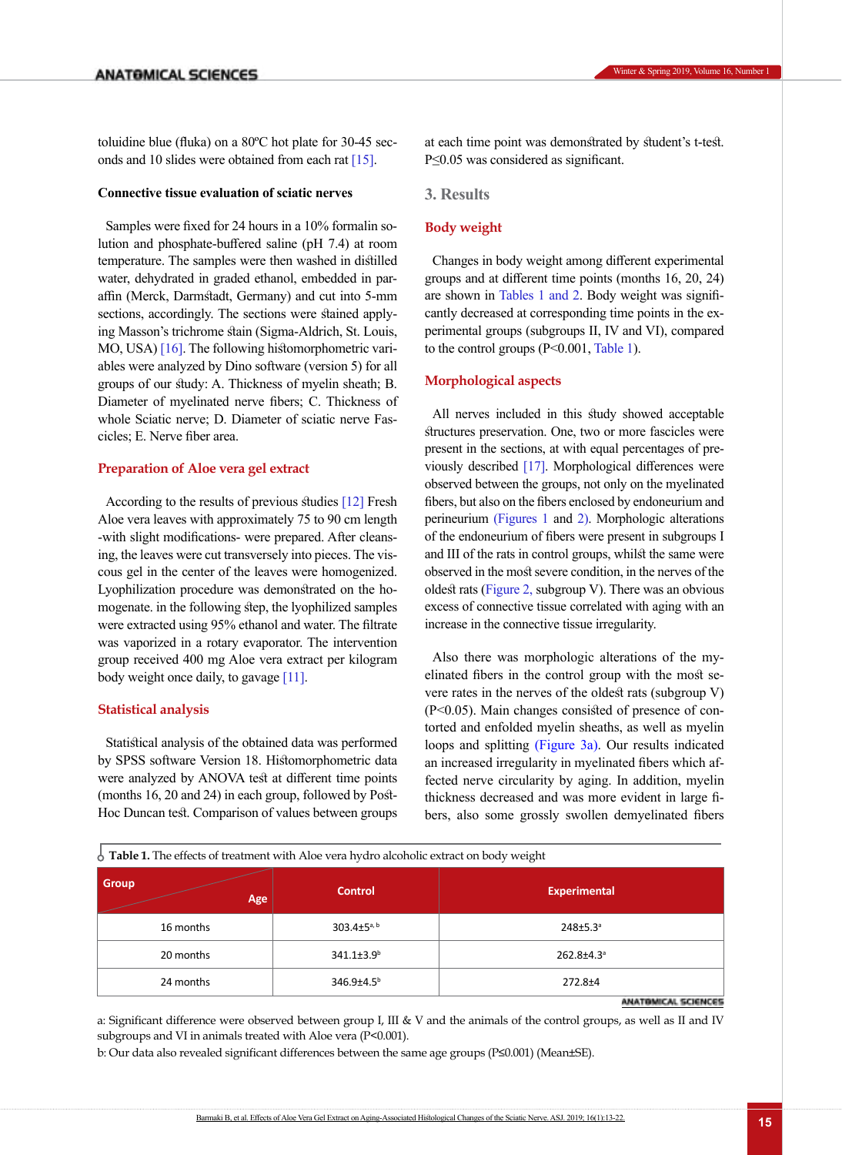### **Connective tissue evaluation of sciatic nerves**

Samples were fixed for 24 hours in a 10% formalin solution and phosphate-buffered saline (pH 7.4) at room temperature. The samples were then washed in distilled water, dehydrated in graded ethanol, embedded in paraffin (Merck, Darmstadt, Germany) and cut into 5-mm sections, accordingly. The sections were stained applying Masson's trichrome stain (Sigma-Aldrich, St. Louis, MO, USA) [\[16\]](#page-7-13). The following histomorphometric variables were analyzed by Dino software (version 5) for all groups of our study: A. Thickness of myelin sheath; B. Diameter of myelinated nerve fibers; C. Thickness of whole Sciatic nerve; D. Diameter of sciatic nerve Fascicles; E. Nerve fiber area.

#### **Preparation of Aloe vera gel extract**

According to the results of previous studies [\[12\]](#page-7-14) Fresh Aloe vera leaves with approximately 75 to 90 cm length -with slight modifications- were prepared. After cleansing, the leaves were cut transversely into pieces. The viscous gel in the center of the leaves were homogenized. Lyophilization procedure was demonstrated on the homogenate. in the following step, the lyophilized samples were extracted using 95% ethanol and water. The filtrate was vaporized in a rotary evaporator. The intervention group received 400 mg Aloe vera extract per kilogram body weight once daily, to gavage  $[11]$ .

## **Statistical analysis**

Statistical analysis of the obtained data was performed by SPSS software Version 18. Histomorphometric data were analyzed by ANOVA test at different time points (months 16, 20 and 24) in each group, followed by [Post-](http://www.statisticshowto.com/post-hoc/)[Hoc](http://www.statisticshowto.com/post-hoc/) Duncan test. Comparison of values between groups at each time point was demonstrated by [student's t-test](https://en.wikipedia.org/wiki/Student%27s_t-test). P≤0.05 was considered as significant.

**3. Results**

## **Body weight**

Changes in body weight among different experimental groups and at different time points (months 16, 20, 24) are shown in [Tables 1](#page-2-0) [and 2.](#page-3-0) Body weight was significantly decreased at corresponding time points in the experimental groups (subgroups II, IV and VI), compared to the control groups (P<0.001[, Table 1\)](#page-2-0).

## **Morphological aspects**

All nerves included in this study showed acceptable structures preservation. One, two or more fascicles were present in the sections, at with equal percentages of previously described [\[17\]](#page-7-15). Morphological differences were observed between the groups, not only on the [myelinated](http://topics.sciencedirect.com/topics/page/Myelin)  fibers, but also on the fibers enclosed by endoneurium and perineurium [\(Figures 1](#page-3-1) and [2\)](#page-4-0). Morphologic alterations of the endoneurium of fibers were present in subgroups I and III of the rats in control groups, whilst the same were observed in the most severe condition, in the nerves of the oldest rats (Figure 2, [subgroup V\).](#page-4-0) There was an obvious excess of connective tissue correlated with aging with an increase in the connective tissue irregularity.

Also there was morphologic alterations of the myelinated fibers in the control group with the most severe rates in the nerves of the oldest rats (subgroup V) (P<0.05). Main changes consisted of presence of contorted and enfolded [myelin sheaths,](http://topics.sciencedirect.com/topics/page/Myelin) as well as [myelin](http://topics.sciencedirect.com/topics/page/Myelin)  loops and splitting ([Figure](#page-4-1) 3a). Our results indicated an increased irregularity in myelinated fibers which affected nerve circularity by aging. In addition, myelin thickness decreased and was more evident in large fibers, also some grossly swollen demyelinated fibers

<span id="page-2-0"></span> $\frac{1}{2}$  Table 1. The effects of treatment with Aloe vera hydro alcoholic extract on body weight

| Group<br>Age | <b>Control</b>                | <b>Experimental</b>    |  |
|--------------|-------------------------------|------------------------|--|
| 16 months    | 303.4 $\pm$ 5 <sup>a, b</sup> | $248 \pm 5.3^{\circ}$  |  |
| 20 months    | 341.1±3.9 <sup>b</sup>        | 262.8±4.3 <sup>a</sup> |  |
| 24 months    | 346.9±4.5 <sup>b</sup>        | $272.8 + 4$            |  |

**ANATOMICAL SCIENCES** 

a: Significant difference were observed between group I, III & V and the animals of the control groups, as well as II and IV subgroups and VI in animals treated with Aloe vera (P<0.001).

b: Our data also revealed significant differences between the same age groups (P≤0.001) (Mean±SE).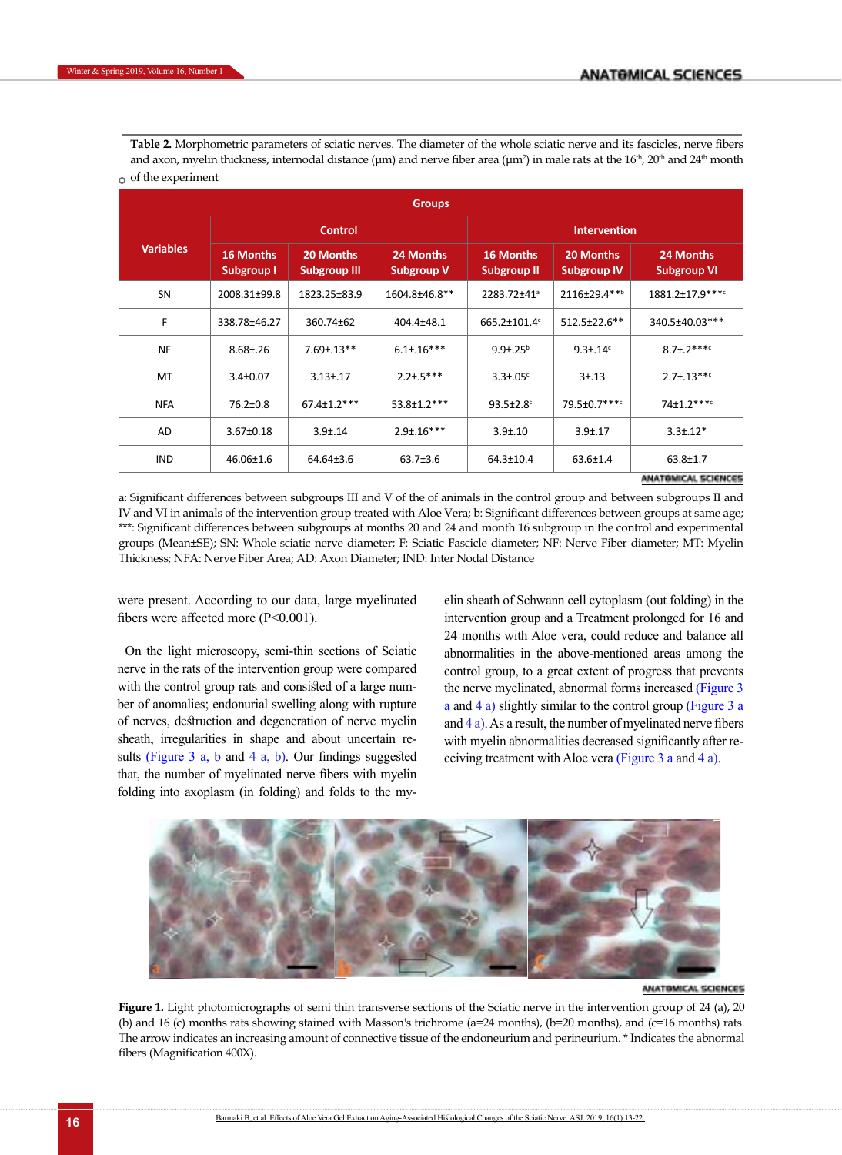<span id="page-3-0"></span>**Table 2.** Morphometric parameters of sciatic nerves. The diameter of the whole sciatic nerve and its fascicles, nerve fibers and axon, myelin thickness, internodal distance (μm) and nerve fiber area (μm²) in male rats at the 16<sup>th</sup>, 20<sup>th</sup> and 24<sup>th</sup> month  $\frac{1}{2}$  of the experiment

| <b>Groups</b>    |                                |                                  |                                |                                        |                                 |                                 |  |  |
|------------------|--------------------------------|----------------------------------|--------------------------------|----------------------------------------|---------------------------------|---------------------------------|--|--|
| <b>Variables</b> | <b>Control</b>                 |                                  |                                | <b>Intervention</b>                    |                                 |                                 |  |  |
|                  | 16 Months<br><b>Subgroup I</b> | 20 Months<br><b>Subgroup III</b> | 24 Months<br><b>Subgroup V</b> | <b>16 Months</b><br><b>Subgroup II</b> | 20 Months<br><b>Subgroup IV</b> | 24 Months<br><b>Subgroup VI</b> |  |  |
| SN               | 2008.31±99.8                   | 1823.25±83.9                     | 1604.8±46.8**                  | 2283.72±41 <sup>a</sup>                | 2116±29.4**b                    | 1881.2±17.9 ****                |  |  |
| F                | 338.78±46.27                   | 360.74±62                        | 404.4±48.1                     | 665.2±101.4°                           | 512.5±22.6**                    | 340.5±40.03***                  |  |  |
| <b>NF</b>        | $8.68 \pm 0.26$                | $7.69 \pm .13**$                 | $6.1 \pm 0.16$ ***             | $9.9 \pm .25^{b}$                      | $9.3 \pm .14$ <sup>c</sup>      | $8.7 \pm .2***$                 |  |  |
| MT               | $3.4 \pm 0.07$                 | $3.13 \pm .17$                   | $2.2 \pm .5***$                | $3.3 \pm .05$ °                        | $3 + 13$                        | $2.7 \pm .13***$                |  |  |
| <b>NFA</b>       | 76.2±0.8                       | $67.4 \pm 1.2$ ***               | $53.8 \pm 1.2***$              | $93.5 \pm 2.8$                         | 79.5±0.7****                    | $74+1.2***$                     |  |  |
| AD               | $3.67 \pm 0.18$                | $3.9 \pm .14$                    | $2.9 \pm 0.16***$              | $3.9 \pm 0.10$                         | $3.9 \pm 0.17$                  | $3.3 \pm .12*$                  |  |  |
| <b>IND</b>       | 46.06±1.6                      | 64.64±3.6                        | $63.7 \pm 3.6$                 | 64.3±10.4                              | $63.6 \pm 1.4$                  | $63.8 \pm 1.7$                  |  |  |
|                  |                                |                                  |                                |                                        |                                 | 化阿米尔斯阿根廷 化三氯乙酸阿尔尼               |  |  |

a: Significant differences between subgroups III and V of the of animals in the control group and between subgroups II and IV and VI in animals of the intervention group treated with Aloe Vera; b: Significant differences between groups at same age; \*\*\*: Significant differences between subgroups at months 20 and 24 and month 16 subgroup in the control and experimental groups (Mean±SE); SN: Whole sciatic nerve diameter; F: Sciatic Fascicle diameter; NF: Nerve Fiber diameter; MT: Myelin Thickness; NFA: Nerve Fiber Area; AD: Axon Diameter; IND: Inter Nodal Distance

were present. According to our data, large myelinated fibers were affected more (P<0.001).

On the light microscopy, semi-thin sections of Sciatic nerve in the rats of the intervention group were compared with the control group rats and consisted of a large number of anomalies; endonurial swelling along with rupture of nerves, destruction and degeneration of nerve myelin sheath, irregularities in shape and about uncertain re-sults ([Figure 3](#page-4-1) a, b and [4 a, b\).](#page-5-0) Our findings suggested that, the number of myelinated nerve fibers with myelin folding into axoplasm (in folding) and folds to the myelin sheath of Schwann cell cytoplasm (out folding) in the intervention group and a Treatment prolonged for 16 and 24 months with Aloe vera, could reduce and balance all abnormalities in the above-mentioned areas among the control group, to a great extent of progress that prevents the nerve myelinated, abnormal forms increased [\(Figure 3](#page-4-1) a and [4 a\)](#page-5-0) slightly similar to the control group [\(Figure](#page-4-1) 3 a and  $4a$ ). As a result, the number of myelinated nerve fibers with myelin abnormalities decreased significantly after receiving treatment with Aloe vera ([Figure](#page-4-1) 3 a and [4 a\)](#page-5-0).



#### ANATOMICAL SCIENCES

<span id="page-3-1"></span>Figure 1. Light photomicrographs of semi thin transverse sections of the Sciatic nerve in the intervention group of 24 (a), 20 (b) and 16 (c) months rats showing stained with Masson's trichrome (a=24 months), (b=20 months), and (c=16 months) rats. The arrow indicates an increasing amount of connective tissue of the endoneurium and perineurium. \* Indicates the abnormal fibers (Magnification 400X).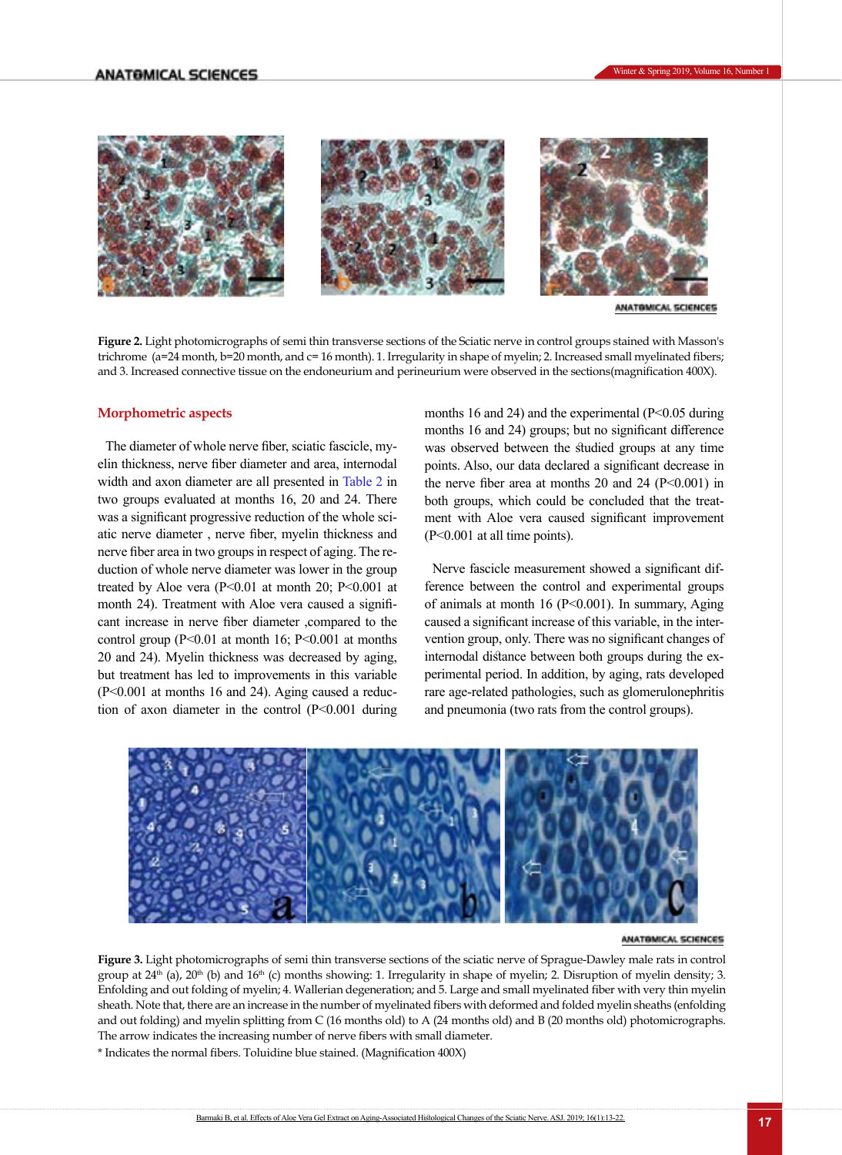

ANATOMICAL SCIENCES

<span id="page-4-0"></span>±99.8 9 \*\* a \*\*b \* c **Figure 2.** Light photomicrographs of semi thin transverse sections of the Sciatic nerve in control groups stained with Masson's in this control groups of the Sciatic nerve in control groups stained with Masson's in the Sc trichrome (a=24 month, b=20 month, and c= 16 month). 1. Irregularity in shape of myelin; 2. Increased small myelinated fibers;<br>and 2. Increased segmentive tiesus on the endorsystime and natineutium were absented in the eas and 3. Increased connective tissue on the endoneurium and perineurium were observed in the sections(magnification 400X).<br>.

#### **Morphometric aspects**

The diameter of whole nerve fiber, sciatic fascicle, my- was observed between the studied elin thickness, nerve fiber diameter and area, internodal width and axon diameter are all presented in [Table 2](#page-3-0) in two groups evaluated at months 16, 20 and 24. There was a significant progressive reduction of the whole sciatic nerve diameter, nerve fiber, myelin thickness and nerve fiber area in two groups in respect of aging. The reduction of whole nerve diameter was lower in the group treated by Aloe vera  $(P<0.01$  at month 20; P<0.001 at month 24). Treatment with Aloe vera caused a signifi- of animals at month 16 (P<0.001). In summary, A cant increase in nerve fiber diameter ,compared to the control group ( $P<0.01$  at month 16;  $P<0.001$  at months 20 and 24). Myelin thickness was decreased by aging, but treatment has led to improvements in this variable (P<0.001 at months 16 and 24). Aging caused a reduction of axon diameter in the control (P<0.001 during

months 16 and 24) and the experimental  $(P<0.05$  during months 16 and 24) and the experimental  $(P<0.05)$  during months 16 and 24) groups; but no significant difference was observed between the studied groups at any time points. Also, our data declared a significant decrease in presented in Table 2 in the nerve fiber area at months 20 and 24 ( $P<0.001$ ) in both groups, which could be concluded that the treatduction of the whole sci- ment with Aloe vera caused significant improvement (P<0.001 at all time points).

on of whole nerve diameter was lower in the group Nerve fascicle measurement showed a significant difd by Aloe vera  $(P<0.01$  at month 20; P<0.001 at ference between the control and experimental groups of animals at month 16 (P<0.001). In summary, Aging ncrease in nerve fiber diameter , compared to the caused a significant increase of this variable, in the interol group (P<0.01 at month 16; P<0.001 at months vention group, only. There was no significant changes of internodal distance between both groups during the experimental period. In addition, by aging, rats developed rare age-related pathologies, such as glomerulonephritis and pneumonia (two rats from the control groups).



## Figure 1. Light photomic photomic photomic services services sections of this section section sections of the sciences sections of the sciences sections of the sciences sections of the sciences sections of the sciences sec

<span id="page-4-1"></span>Figure 3. Light photomicrographs of semi thin transverse sections of the sciatic nerve of Sprague-Dawley male rats in control group at  $24<sup>th</sup>$  (a),  $20<sup>th</sup>$  (b) and  $16<sup>th</sup>$  (c) months showing: 1. Irregularity in shape of myelin; 2. Disruption of myelin density; 3. Enfolding and out folding of myelin; 4. Wallerian degeneration; and 5. Large and small myelinated fiber with very thin myelin sheath. Note that, there are an increase in the number of myelinated fibers with deformed and folded myelin sheaths (enfolding<br>and the sheath of the sheath of the sheath of the sheath of the sheath of the sheath of the she and out folding) and myelin splitting from C (16 months old) to A (24 months old) and B (20 months old) photomicrographs.<br>The arrow indicates the increasing number of norms fibers with small diameter. outs the increasing number of herve more what shall diameter.<br>council tibora Toluiding blue atomod (Macnification 400V) The arrow indicates the increasing number of nerve fibers with small diameter.

(20 months old) photomicrographs. The arrow indicates the increasing number of \* Indicates the normal fibers. Toluidine blue stained. (Magnification 400X)

اطالعات هر دو نمودار به طور یکسان و به **:[15y [Commented**

.نوشته شود SD یا SE صورت اصالح شد **:[16d [Commented**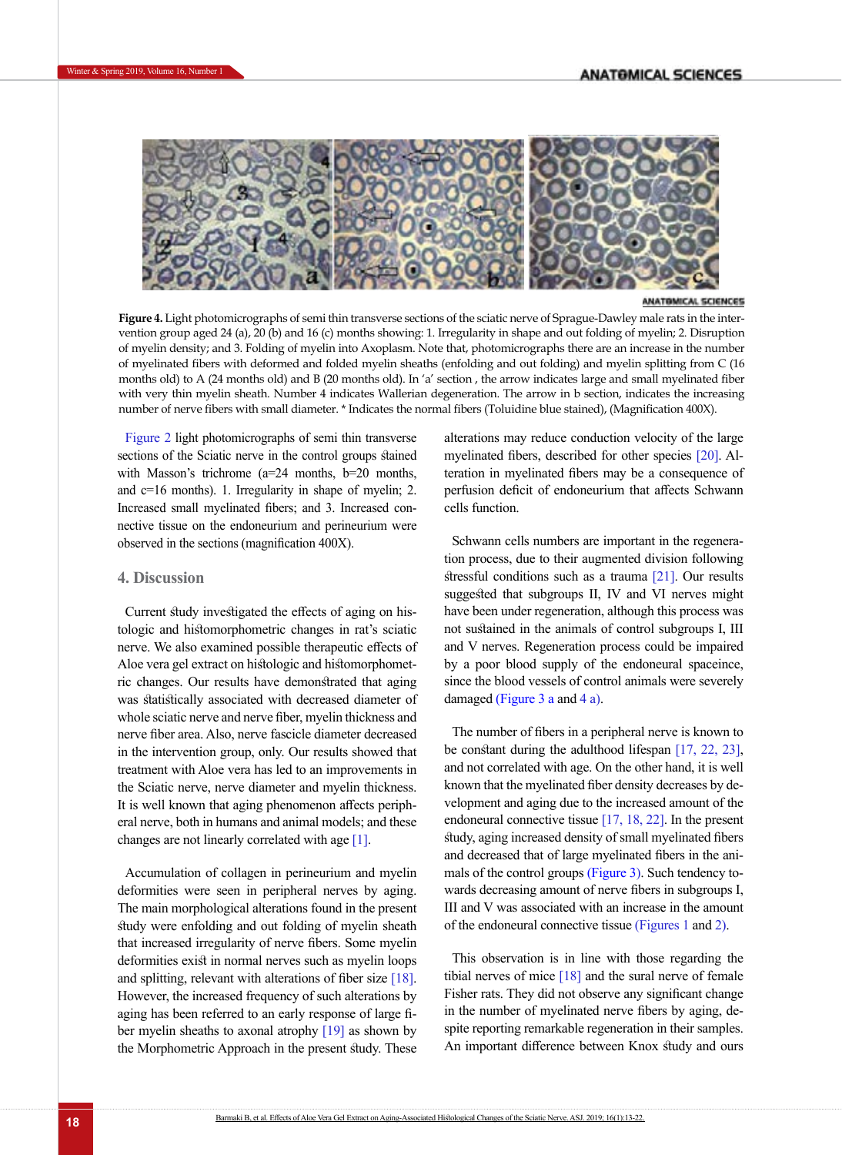

**SCHINGES** 

<span id="page-5-0"></span>Figure 2. Light photomicrographs of semi thin transverse sections of the sciatic **Figure 4.** Light photomicrographs of semi thin transverse sections of the sciatic nerve of Sprague-Dawley male rats in the intervention group aged 24 (a), 20 (b) and 16 (c) months showing: 1. Irregularity in shape and out folding of myelin; 2. Disruption of myelin density; and 3. Folding of myelin into Axoplasm. Note that, photomicrographs there are an increase in the number of myelinated fibers with deformed and folded myelin sheaths (enfolding and out folding) and myelin splitting from C (16 months old) to A (24 months old) and B (20 months old). In 'a' section , the arrow indicates large and small myelinated fiber with very thin myelin sheath. Number 4 indicates Wallerian degeneration. The arrow in b section, indicates the increasing number of nerve fibers with small diameter. \* Indicates the normal fibers (Toluidine blue stained), (Magnification 400X).

[Figure 2](#page-4-0) light photomicrographs of semi thin transverse sections of the Sciatic nerve in the control groups stained with Masson's trichrome ( $a=24$  months,  $b=20$  months, teration in myelinated fibers may be a and c=16 months). 1. Irregularity in shape of myelin; 2. Increased small myelinated fibers; and 3. Increased con-<br>
Increased small myelinated fibers; and 3. Increased connective tissue on the endoneurium and perineurium were  $\frac{d}{dx}$ observed in the sections (magnification 400X). Schwann cells numbers are important in the regenera-<br>e sections (magnification 400X). Schwann cells numbers are important in the regenera-

## **4. Discussion**

tologic and histomorphometric changes in rat's sciatic hologic and instoller phone the enalges in Tat's strate that hological and the merve. We also examined possible therapeutic effects of and Aloe vera gel extract on histologic and histomorphometric changes. Our results have demonstrated that aging was statistically associated with decreased diameter of whole sciatic nerve and nerve fiber, myelin thickness and nerve fiber area. Also, nerve fascicle diameter decreased in the intervention group, only. Our results showed that treatment with Aloe vera has led to an improvements in the Sciatic nerve, nerve diameter and myelin thickness. It is well known that aging phenomenon affects peripheral nerve, both in humans and animal models; and these changes are not linearly correlated with age  $[1]$ .

Accumulation of collagen in perineurium and myelin deformities were seen in peripheral nerves by aging. The main morphological alterations found in the present study were enfolding and out folding of myelin sheath that increased irregularity of nerve fibers. Some myelin deformities exist in normal nerves such as myelin loops and splitting, relevant with alterations of fiber size [18]. However, the increased frequency of such alterations by aging has been referred to an early response of large fiber myelin sheaths to axonal atrophy [\[19\]](#page-7-16) as shown by the Morphometric Approach in the present study. These

alterations may reduce conduction velocity of the large mutual map control containing control in b mag-<br>myelinated fibers, described for other species [\[20\]](#page-7-17). Al- $\frac{1}{2}$  increasing number of  $\frac{1}{2}$  and  $\frac{1}{2}$  in  $\frac{1}{2}$  the normal fibers may be a consequence of nerve of the intervention of the intervention of the intervention of the intervention and the intervention of the intervention and the intervention deficit of endoneurium that affects Schwann cells function.

Current study investigated the effects of aging on his-<br>
have been under regeneration, although thi definition (in form, form, form, form, form, form, form, form, following and tion process, due to their augmented division following stressful conditions such as a trauma [\[21\].](#page-7-18) Our results of the A (21) to A (21) to A (21) to A (31) to A (31) to A (31) to A (31) to A (31) to A (31) to A (31) to A (31) to A (31) to A (31) to A (31) to A (31) to A (31) to substantial subgroups II, IV and VI nerves might suggested that subgroups II, IV and VI nerves might have been under regeneration, although this process was not sustained in the animals of control subgroups I, III interverse with small diameter. The normal fibers with small diameters with small diameters with small for the normal fibers with small diameters with small fibers w and V nerves. Regeneration process could be impaired by a poor blood supply of the endoneural spaceince, since the blood vessels of control animals were severely damaged [\(Figure 3](#page-4-1) a and [4 a\)](#page-5-0).

> The number of fibers in a peripheral nerve is known to be constant during the adulthood lifespan [\[17,](#page-7-15) 22, [23\]](#page-8-0), and not correlated with age. On the other hand, it is well known that the myelinated fiber density decreases by development and aging due to the increased amount of the endoneural connective tissue [\[17,](#page-7-15) 18, [22\]](#page-7-18). In the present study, aging increased density of small myelinated fibers and decreased that of large myelinated fibers in the animals of the control groups [\(Figure 3](#page-4-1)[\)](#page-5-0). Such tendency towards decreasing amount of nerve fibers in subgroups I, III and V was associated with an increase in the amount of the endoneural connective tissue [\(Figures 1](#page-3-1) and [2\)](#page-4-0).

> This observation is in line with those regarding the tibial nerves of mice  $[18]$  and the sural nerve of female Fisher rats. They did not observe any significant change in the number of myelinated nerve fibers by aging, despite reporting remarkable regeneration in their samples. An important difference between Knox study and ours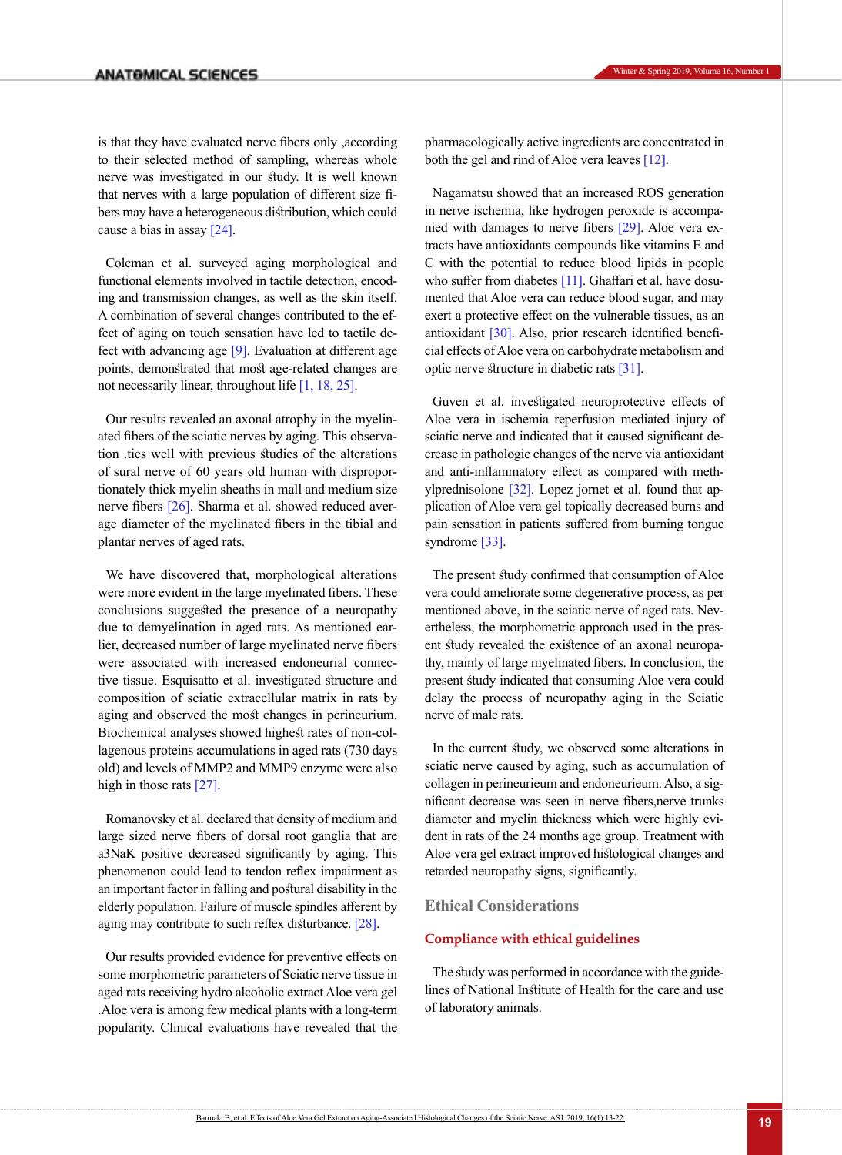is that they have evaluated nerve fibers only ,according to their selected method of sampling, whereas whole nerve was investigated in our study. It is well known that nerves with a large population of different size fibers may have a heterogeneous distribution, which could cause a bias in assay [\[24\]](#page-8-1).

Coleman et al. surveyed aging morphological and functional elements involved in tactile detection, encoding and transmission changes, as well as the skin itself. A combination of several changes contributed to the effect of aging on touch sensation have led to tactile defect with advancing age [\[9\]](#page-7-7). Evaluation at different age points, demonstrated that most age-related changes are not necessarily linear, throughout life [1, 18, [25\].](#page-8-2)

Our results revealed an axonal atrophy in the myelinated fibers of the sciatic nerves by aging. This observation .ties well with previous studies of the alterations of sural nerve of 60 years old human with disproportionately thick myelin sheaths in mall and medium size nerve fibers [\[26\]](#page-8-3). [Sharma et al](http://www.sciencedirect.com/science/article/pii/S0006899308012638). showed reduced average diameter of the myelinated fibers in the tibial and plantar nerves of aged rats.

We have discovered that, morphological alterations were more evident in the large myelinated fibers. These conclusions suggested the presence of a neuropathy due to demyelination in aged rats. As mentioned earlier, decreased number of large myelinated nerve fibers were associated with increased endoneurial connective tissue. Esquisatto et al. investigated structure and composition of sciatic extracellular matrix in rats by aging and observed the most changes in perineurium. Biochemical analyses showed highest rates of non-collagenous proteins accumulations in aged rats (730 days old) and levels of MMP2 and MMP9 enzyme were also high in those rats [27].

Romanovsky et al. declared that density of medium and large sized nerve fibers of dorsal root ganglia that are a3NaK positive decreased significantly by aging. This phenomenon could lead to tendon reflex impairment as an important factor in falling and postural disability in the elderly population. Failure of muscle spindles afferent by aging may contribute to such reflex disturbance. [\[28\].](#page-8-4)

Our results provided evidence for preventive effects on some morphometric parameters of Sciatic nerve tissue in aged rats receiving hydro alcoholic extract Aloe vera gel .Aloe vera is among few medical plants with a long-term popularity. Clinical evaluations have revealed that the

pharmacologically active ingredients are concentrated in both the gel and rind of Aloe vera leaves [\[12\]](#page-7-14).

Nagamatsu showed that an increased ROS generation in nerve ischemia, like hydrogen peroxide is accompanied with damages to nerve fibers [\[29\]](#page-8-5). Aloe vera extracts have antioxidants compounds like vitamins E and C with the potential to reduce blood lipids in people who suffer from diabetes [\[11\]](#page-7-9). Ghaffari et al. have dosumented that Aloe vera can reduce blood sugar, and may exert a protective effect on the vulnerable tissues, as an antioxidant [\[30\]](#page-8-6). Also, prior research identified beneficial effects of Aloe vera on carbohydrate metabolism and optic nerve structure in diabetic rats [\[31\].](#page-8-7)

Guven et al. investigated neuroprotective effects of Aloe vera in ischemia reperfusion mediated injury of sciatic nerve and indicated that it caused significant decrease in pathologic changes of the nerve via antioxidant and anti-inflammatory effect as compared with methylprednisolone [32]. Lopez jornet et al. found that application of Aloe vera gel topically decreased burns and pain sensation in patients suffered from burning tongue syndrome [33].

The present study confirmed that consumption of Aloe vera could ameliorate some degenerative process, as per mentioned above, in the sciatic nerve of aged rats. Nevertheless, the morphometric approach used in the present study revealed the existence of an axonal neuropathy, mainly of large myelinated fibers. In conclusion, the present study indicated that consuming Aloe vera could delay the process of neuropathy aging in the Sciatic nerve of male rats.

In the current study, we observed some alterations in sciatic nerve caused by aging, such as accumulation of collagen in perineurieum and endoneurieum. Also, a significant decrease was seen in nerve fibers,nerve trunks diameter and myelin thickness which were highly evident in rats of the 24 months age group. Treatment with Aloe vera gel extract improved histological changes and retarded neuropathy signs, significantly.

## **Ethical Considerations**

## **Compliance with ethical guidelines**

The study was performed in accordance with the guidelines of National Institute of Health for the care and use of laboratory animals.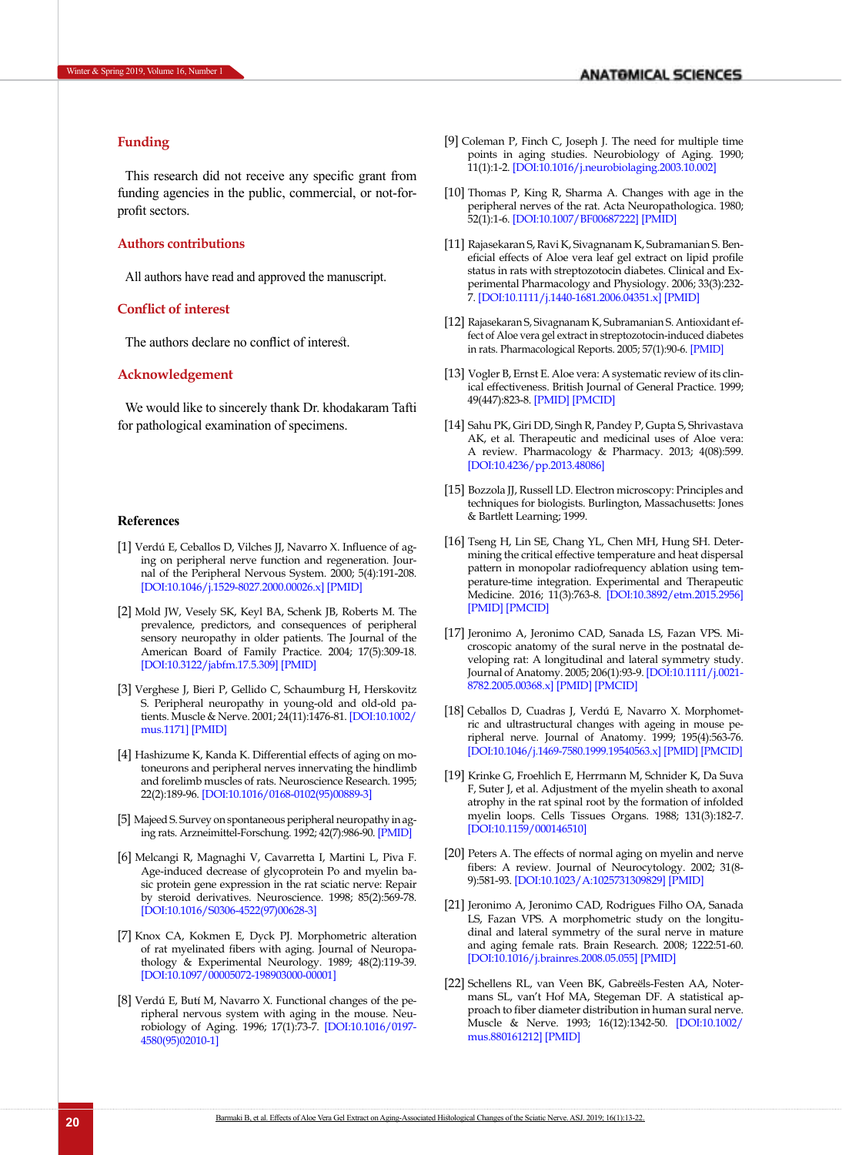## <span id="page-7-0"></span>**Funding**

This research did not receive any specific grant from funding agencies in the public, commercial, or not-forprofit sectors.

#### **Authors contributions**

All authors have read and approved the manuscript.

#### **Conflict of interest**

The authors declare no conflict of interest.

#### **Acknowledgement**

We would like to sincerely thank Dr. khodakaram Tafti for pathological examination of specimens.

#### **References**

- [1] Verdú E, Ceballos D, Vilches JJ, Navarro X. Influence of aging on peripheral nerve function and regeneration. Journal of the Peripheral Nervous System. 2000; 5(4):191-208. [[DOI:10.1046/j.1529-8027.2000.00026.x](https://doi.org/10.1046/j.1529-8027.2000.00026.x)] [\[PMID](https://www.ncbi.nlm.nih.gov/pubmed/11151980)]
- <span id="page-7-1"></span>[2] Mold JW, Vesely SK, Keyl BA, Schenk JB, Roberts M. The prevalence, predictors, and consequences of peripheral sensory neuropathy in older patients. The Journal of the American Board of Family Practice. 2004; 17(5):309-18. [[DOI:10.3122/jabfm.17.5.309](https://doi.org/10.3122/jabfm.17.5.309)] [\[PMID\]](https://www.ncbi.nlm.nih.gov/pubmed/15355943)
- <span id="page-7-2"></span>[3] Verghese J, Bieri P, Gellido C, Schaumburg H, Herskovitz S. Peripheral neuropathy in young-old and old-old patients. Muscle & Nerve. 2001; 24(11):1476-81. [\[DOI:10.1002/](https://doi.org/10.1002/mus.1171) [mus.1171](https://doi.org/10.1002/mus.1171)] [\[PMID\]](https://www.ncbi.nlm.nih.gov/pubmed/11745949)
- <span id="page-7-3"></span>[4] Hashizume K, Kanda K. Differential effects of aging on motoneurons and peripheral nerves innervating the hindlimb and forelimb muscles of rats. Neuroscience Research. 1995; 22(2):189-96. [[DOI:10.1016/0168-0102\(95\)00889-3\]](https://doi.org/10.1016/0168-0102(95)00889-3)
- <span id="page-7-4"></span>[5] Majeed S. Survey on spontaneous peripheral neuropathy in aging rats. Arzneimittel-Forschung. 1992; 42(7):986-90. [\[PMID\]](https://www.ncbi.nlm.nih.gov/pubmed/1329782)
- <span id="page-7-5"></span>[6] Melcangi R, Magnaghi V, Cavarretta I, Martini L, Piva F. Age-induced decrease of glycoprotein Po and myelin basic protein gene expression in the rat sciatic nerve: Repair by steroid derivatives. Neuroscience. 1998; 85(2):569-78. [[DOI:10.1016/S0306-4522\(97\)00628-3\]](https://doi.org/10.1016/S0306-4522(97)00628-3)
- <span id="page-7-6"></span>[7] Knox CA, Kokmen E, Dyck PJ. Morphometric alteration of rat myelinated fibers with aging. Journal of Neuropathology & Experimental Neurology. 1989; 48(2):119-39. [[DOI:10.1097/00005072-198903000-00001](https://doi.org/10.1097/00005072-198903000-00001)]
- [8] Verdú E, Butí M, Navarro X. Functional changes of the peripheral nervous system with aging in the mouse. Neurobiology of Aging. 1996; 17(1):73-7. [\[DOI:10.1016/0197-](https://doi.org/10.1016/0197-4580(95)02010-1) [4580\(95\)02010-1\]](https://doi.org/10.1016/0197-4580(95)02010-1)
- <span id="page-7-7"></span>[9] Coleman P, Finch C, Joseph J. The need for multiple time points in aging studies. Neurobiology of Aging. 1990; 11(1):1-2. [[DOI:10.1016/j.neurobiolaging.2003.10.002](https://doi.org/10.1016/j.neurobiolaging.2003.10.002)]
- <span id="page-7-8"></span>[10] Thomas P, King R, Sharma A. Changes with age in the peripheral nerves of the rat. Acta Neuropathologica. 1980; 52(1):1-6. [[DOI:10.1007/BF00687222](https://doi.org/10.1007/BF00687222)] [\[PMID\]](https://www.ncbi.nlm.nih.gov/pubmed/7435152)
- <span id="page-7-9"></span>[11] Rajasekaran S, Ravi K, Sivagnanam K, Subramanian S. Beneficial effects of Aloe vera leaf gel extract on lipid profile status in rats with streptozotocin diabetes. Clinical and Experimental Pharmacology and Physiology. 2006; 33(3):232- 7. [[DOI:10.1111/j.1440-1681.2006.04351.x\]](https://doi.org/10.1111/j.1440-1681.2006.04351.x) [[PMID](https://www.ncbi.nlm.nih.gov/pubmed/16487267)]
- <span id="page-7-14"></span>[12] Rajasekaran S, Sivagnanam K, Subramanian S. Antioxidant effect of Aloe vera gel extract in streptozotocin-induced diabetes in rats. Pharmacological Reports. 2005; 57(1):90-6. [\[PMID\]](https://www.ncbi.nlm.nih.gov/pubmed/15849382)
- <span id="page-7-10"></span>[13] Vogler B, Ernst E. Aloe vera: A systematic review of its clinical effectiveness. British Journal of General Practice. 1999; 49(447):823-8. [\[PMID\]](https://www.ncbi.nlm.nih.gov/pubmed/10885091) [\[PMCID](http://www.ncbi.nlm.nih.gov/pmc/articles/PMC1313538)]
- <span id="page-7-11"></span>[14] Sahu PK, Giri DD, Singh R, Pandey P, Gupta S, Shrivastava AK, et al. Therapeutic and medicinal uses of Aloe vera: A review. Pharmacology & Pharmacy. 2013; 4(08):599. [\[DOI:10.4236/pp.2013.48086\]](https://doi.org/10.4236/pp.2013.48086)
- <span id="page-7-12"></span>[15] Bozzola JJ, Russell LD. Electron microscopy: Principles and techniques for biologists. Burlington, Massachusetts: Jones & Bartlett Learning; 1999.
- <span id="page-7-13"></span>[16] Tseng H, Lin SE, Chang YL, Chen MH, Hung SH. Determining the critical effective temperature and heat dispersal pattern in monopolar radiofrequency ablation using temperature-time integration. Experimental and Therapeutic Medicine. 2016; 11(3):763-8. [[DOI:10.3892/etm.2015.2956\]](https://doi.org/10.3892/etm.2015.2956) [\[PMID](https://www.ncbi.nlm.nih.gov/pubmed/26997990)] [\[PMCID](http://www.ncbi.nlm.nih.gov/pmc/articles/PMC4774398)]
- <span id="page-7-15"></span>[17] Jeronimo A, Jeronimo CAD, Sanada LS, Fazan VPS. Microscopic anatomy of the sural nerve in the postnatal developing rat: A longitudinal and lateral symmetry study. Journal of Anatomy. 2005; 206(1):93-9. [\[DOI:10.1111/j.0021-](https://doi.org/10.1111/j.0021-8782.2005.00368.x) [8782.2005.00368.x\]](https://doi.org/10.1111/j.0021-8782.2005.00368.x) [\[PMID](https://www.ncbi.nlm.nih.gov/pubmed/15679874)] [\[PMCID](http://www.ncbi.nlm.nih.gov/pmc/articles/PMC1571453)]
- [18] Ceballos D, Cuadras J, Verdú E, Navarro X. Morphometric and ultrastructural changes with ageing in mouse peripheral nerve. Journal of Anatomy. 1999; 195(4):563-76. [\[DOI:10.1046/j.1469-7580.1999.19540563.x](https://doi.org/10.1046/j.1469-7580.1999.19540563.x)] [\[PMID](https://www.ncbi.nlm.nih.gov/pubmed/10634695)] [\[PMCID](http://www.ncbi.nlm.nih.gov/pmc/articles/PMC1468027)]
- <span id="page-7-16"></span>[19] Krinke G, Froehlich E, Herrmann M, Schnider K, Da Suva F, Suter J, et al. Adjustment of the myelin sheath to axonal atrophy in the rat spinal root by the formation of infolded myelin loops. Cells Tissues Organs. 1988; 131(3):182-7. [\[DOI:10.1159/000146510](https://doi.org/10.1159/000146510)]
- <span id="page-7-17"></span>[20] Peters A. The effects of normal aging on myelin and nerve fibers: A review. Journal of Neurocytology. 2002; 31(8- 9):581-93. [\[DOI:10.1023/A:1025731309829\]](https://doi.org/10.1023/A:1025731309829) [[PMID](https://www.ncbi.nlm.nih.gov/pubmed/14501200)]
- <span id="page-7-18"></span>[21] Jeronimo A, Jeronimo CAD, Rodrigues Filho OA, Sanada LS, Fazan VPS. A morphometric study on the longitudinal and lateral symmetry of the sural nerve in mature and aging female rats. Brain Research. 2008; 1222:51-60. [\[DOI:10.1016/j.brainres.2008.05.055](https://doi.org/10.1016/j.brainres.2008.05.055)] [\[PMID](https://www.ncbi.nlm.nih.gov/pubmed/18585691)]
- [22] Schellens RL, van Veen BK, Gabreëls-Festen AA, Notermans SL, van't Hof MA, Stegeman DF. A statistical approach to fiber diameter distribution in human sural nerve. Muscle & Nerve. 1993; 16(12):1342-50. [\[DOI:10.1002/](https://doi.org/10.1002/mus.880161212) [mus.880161212](https://doi.org/10.1002/mus.880161212)] [\[PMID\]](https://www.ncbi.nlm.nih.gov/pubmed/8232391)